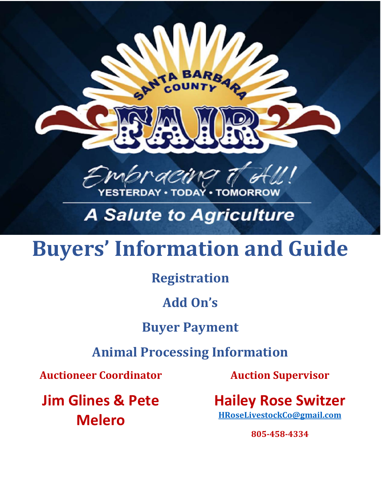

## **A Salute to Agriculture**

# **Buyers' Information and Guide**

### **Registration**

### **Add On's**

### **Buyer Payment**

### **Animal Processing Information**

**Auctioneer Coordinator**

**Jim Glines & Pete Melero**

**Auction Supervisor**

**Hailey Rose Switzer [HRoseLivestockCo@gmail.com](mailto:HRoseLivestockCo@gmail.com)**

**805-458-4334**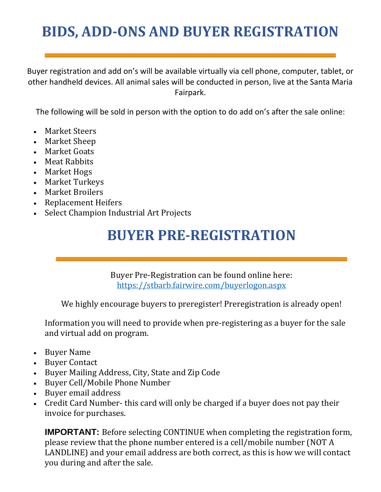## **BIDS, ADD-ONS AND BUYER REGISTRATION**

Buyer registration and add on's will be available virtually via cell phone, computer, tablet, or other handheld devices. All animal sales will be conducted in person, live at the Santa Maria Fairpark.

The following will be sold in person with the option to do add on's after the sale online:

- Market Steers
- Market Sheep
- Market Goats
- Meat Rabbits
- Market Hogs
- Market Turkeys
- Market Broilers
- Replacement Heifers
- Select Champion Industrial Art Projects

### **BUYER PRE-REGISTRATION**

Buyer Pre-Registration can be found online here: <https://stbarb.fairwire.com/buyerlogon.aspx>

We highly encourage buyers to preregister! Preregistration is already open!

Information you will need to provide when pre-registering as a buyer for the sale and virtual add on program.

- Buyer Name
- Buyer Contact
- Buyer Mailing Address, City, State and Zip Code
- Buyer Cell/Mobile Phone Number
- Buyer email address
- Credit Card Number- this card will only be charged if a buyer does not pay their invoice for purchases.

**IMPORTANT:** Before selecting CONTINUE when completing the registration form, please review that the phone number entered is a cell/mobile number (NOT A LANDLINE) and your email address are both correct, as this is how we will contact you during and after the sale.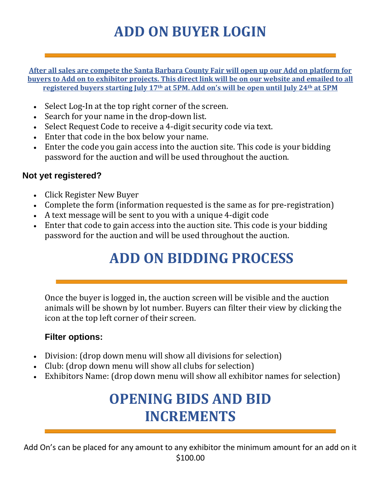## **ADD ON BUYER LOGIN**

**After all sales are compete the Santa Barbara County Fair will open up our Add on platform for buyers to Add on to exhibitor projects. This direct link will be on our website and emailed to all registered buyers starting July 17th at 5PM. Add on's will be open until July 24th at 5PM**

- Select Log-In at the top right corner of the screen.
- Search for your name in the drop-down list.
- Select Request Code to receive a 4-digit security code via text.
- Enter that code in the box below your name.
- Enter the code you gain access into the auction site. This code is your bidding password for the auction and will be used throughout the auction.

#### **Not yet registered?**

- Click Register New Buyer
- Complete the form (information requested is the same as for pre-registration)
- A text message will be sent to you with a unique 4-digit code
- Enter that code to gain access into the auction site. This code is your bidding password for the auction and will be used throughout the auction.

## **ADD ON BIDDING PROCESS**

Once the buyer is logged in, the auction screen will be visible and the auction animals will be shown by lot number. Buyers can filter their view by clicking the icon at the top left corner of their screen.

#### **Filter options:**

- Division: (drop down menu will show all divisions for selection)
- Club: (drop down menu will show all clubs for selection)
- Exhibitors Name: (drop down menu will show all exhibitor names for selection)

### **OPENING BIDS AND BID INCREMENTS**

Add On's can be placed for any amount to any exhibitor the minimum amount for an add on it \$100.00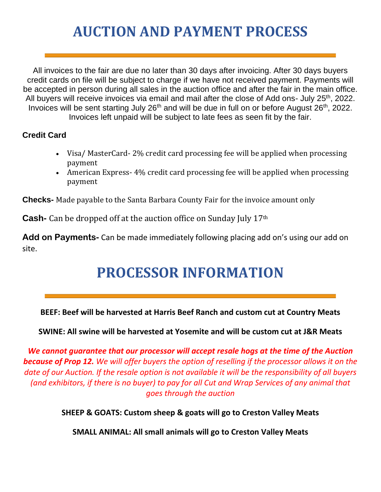### **AUCTION AND PAYMENT PROCESS**

All invoices to the fair are due no later than 30 days after invoicing. After 30 days buyers credit cards on file will be subject to charge if we have not received payment. Payments will be accepted in person during all sales in the auction office and after the fair in the main office. All buyers will receive invoices via email and mail after the close of Add ons- July 25<sup>th</sup>, 2022. Invoices will be sent starting July  $26<sup>th</sup>$  and will be due in full on or before August  $26<sup>th</sup>$ , 2022. Invoices left unpaid will be subject to late fees as seen fit by the fair.

#### **Credit Card**

- Visa/MasterCard-2% credit card processing fee will be applied when processing payment
- American Express-4% credit card processing fee will be applied when processing payment

**Checks-** Made payable to the Santa Barbara County Fair for the invoice amount only

**Cash-** Can be dropped off at the auction office on Sunday July 17<sup>th</sup>

**Add on Payments-** Can be made immediately following placing add on's using our add on site.

## **PROCESSOR INFORMATION**

**BEEF: Beef will be harvested at Harris Beef Ranch and custom cut at Country Meats** 

**SWINE: All swine will be harvested at Yosemite and will be custom cut at J&R Meats** 

*We cannot guarantee that our processor will accept resale hogs at the time of the Auction because of Prop 12. We will offer buyers the option of reselling if the processor allows it on the date of our Auction. If the resale option is not available it will be the responsibility of all buyers (and exhibitors, if there is no buyer) to pay for all Cut and Wrap Services of any animal that goes through the auction*

**SHEEP & GOATS: Custom sheep & goats will go to Creston Valley Meats** 

**SMALL ANIMAL: All small animals will go to Creston Valley Meats**